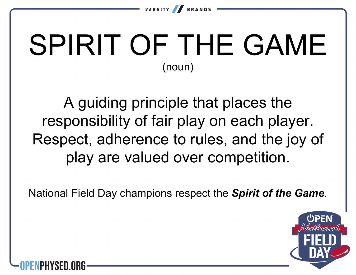

# SPIRIT OF THE GAME (noun)

A guiding principle that places the responsibility of fair play on each player. Respect, adherence to rules, and the joy of play are valued over competition.

National Field Day champions respect the *Spirit of the Game*.



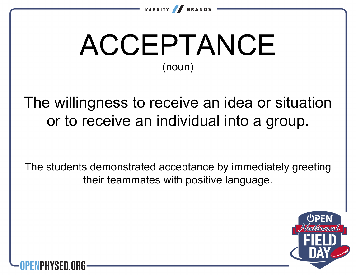

# ACCEPTANCE (noun)

The willingness to receive an idea or situation or to receive an individual into a group.

The students demonstrated acceptance by immediately greeting their teammates with positive language.



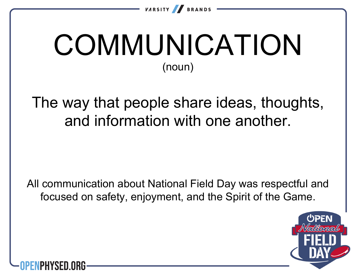

## **COMMUNICATION** (noun)

The way that people share ideas, thoughts, and information with one another.

All communication about National Field Day was respectful and focused on safety, enjoyment, and the Spirit of the Game.



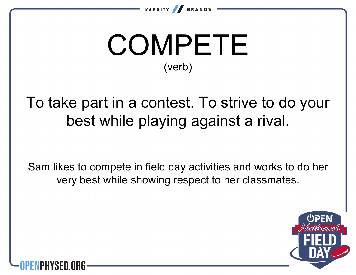

## COMPETE (verb)

To take part in a contest. To strive to do your best while playing against a rival.

Sam likes to compete in field day activities and works to do her very best while showing respect to her classmates.



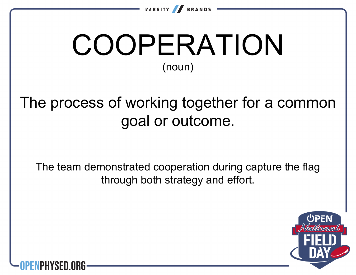

## COOPERATION (noun)

#### The process of working together for a common goal or outcome.

The team demonstrated cooperation during capture the flag through both strategy and effort.



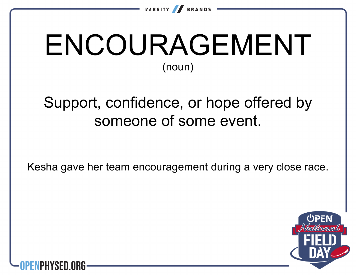

# ENCOURAGEMENT (noun)

#### Support, confidence, or hope offered by someone of some event.

Kesha gave her team encouragement during a very close race.



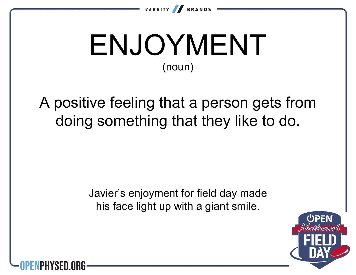

### ENJOYMENT (noun)

A positive feeling that a person gets from doing something that they like to do.

> Javier's enjoyment for field day made his face light up with a giant smile.



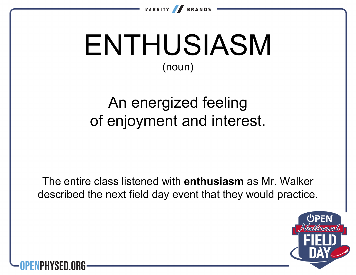

### ENTHUSIASM (noun)

#### An energized feeling of enjoyment and interest.

The entire class listened with **enthusiasm** as Mr. Walker described the next field day event that they would practice.



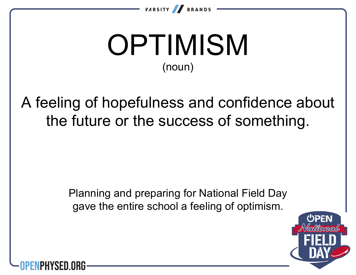

# **OPTIMISM** (noun)

A feeling of hopefulness and confidence about the future or the success of something.

> Planning and preparing for National Field Day gave the entire school a feeling of optimism.



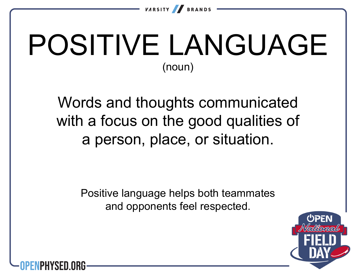

### POSITIVE LANGUAGE (noun)

Words and thoughts communicated with a focus on the good qualities of a person, place, or situation.

> Positive language helps both teammates and opponents feel respected.



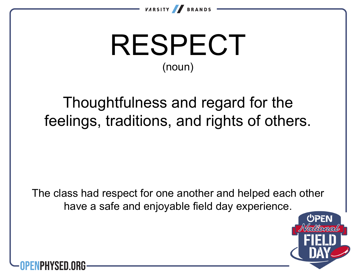

## RESPECT (noun)

#### Thoughtfulness and regard for the feelings, traditions, and rights of others.

The class had respect for one another and helped each other have a safe and enjoyable field day experience.



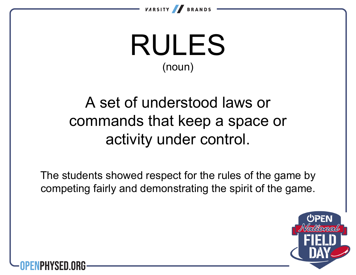

### RULES (noun)

#### A set of understood laws or commands that keep a space or activity under control.

The students showed respect for the rules of the game by competing fairly and demonstrating the spirit of the game.



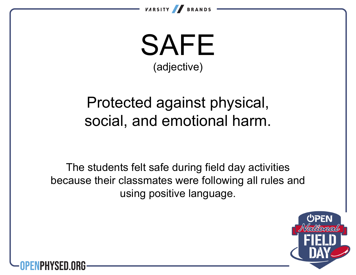

SAFE (adjective)

#### Protected against physical, social, and emotional harm.

The students felt safe during field day activities because their classmates were following all rules and using positive language.



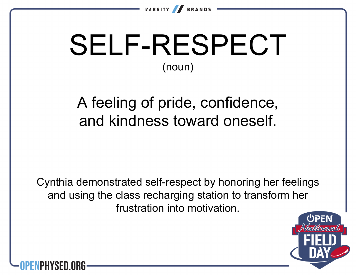

# SELF-RESPECT (noun)

A feeling of pride, confidence, and kindness toward oneself.

Cynthia demonstrated self-respect by honoring her feelings and using the class recharging station to transform her frustration into motivation.



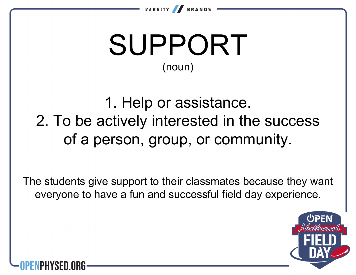

# SUPPORT (noun)

1. Help or assistance. 2. To be actively interested in the success of a person, group, or community.

The students give support to their classmates because they want everyone to have a fun and successful field day experience.